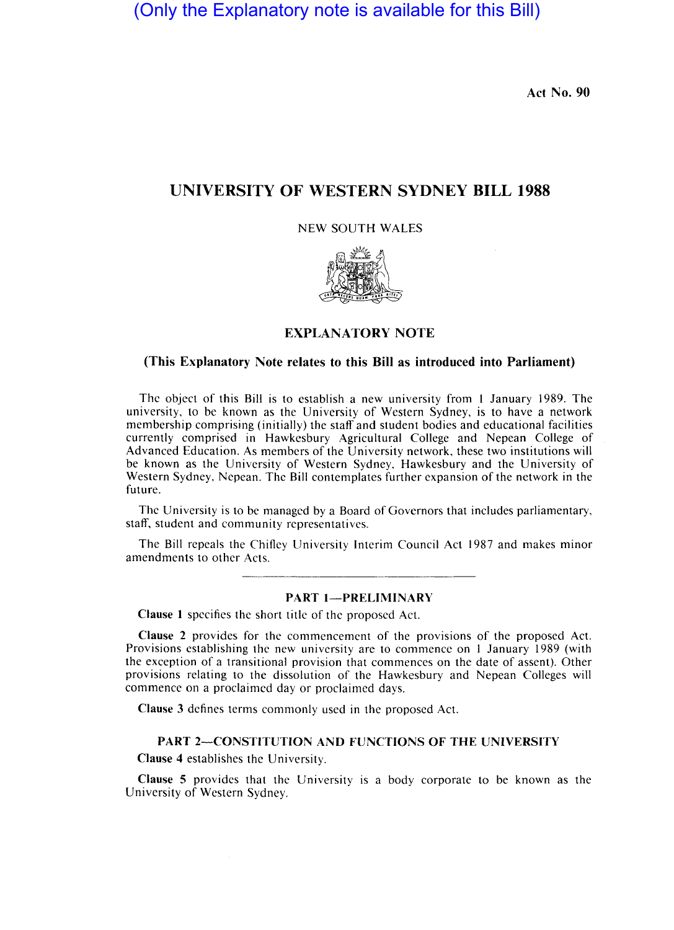(Only the Explanatory note is available for this Bill)

**Act No. 90** 

# **UNIVERSITY OF WESTERN SYDNEY BILL 1988**

NEW SOUTH WALES



## **EXPLANATORY NOTE**

### **(This Explanatory Note relates to this Bill as introduced into Parliament)**

The object of this Bill is to establish a new university from I January 1989. The university, to be known as the University of Western Sydney, is to have a network membership comprising (initially) the staff and student bodies and educational facilities currently comprised in Hawkesbury Agricultural College and Nepean College of Advanced Education. As members of the University network, these two institutions will be known as the University of Western Sydney, Hawkesbury and the University of Western Sydney, Nepean. The Bill contemplates further expansion of the network in the future.

The University is to be managed by a Board of Governors that includes parliamentary, staff, student and community representatives.

The Bill repeals the Chifley University Interim Council Act 1987 and makes minor amendments to other Acts.

#### **PART 1-PRELIMINARY**

**Clause I** specifies the short title of the proposed Act.

**Clause** 2 provides for the commencement of the provisions of the proposed Act. Provisions establishing the new university are to commence on I January 1989 (with the exception of a transitional provision that commences on the date of assent). Other provisions relating to the dissolution of the Hawkesbury and Nepean Colleges will commence on a proclaimed day or proclaimed days.

**Clause** 3 defines terms commonly used in the proposed Act.

#### PART 2-CONSTITUTION AND FUNCTIONS OF THE UNIVERSITY

**Clause 4** establishes the University.

**Clause 5** provides that the University is a body corporate to be known as the University of Western Sydney.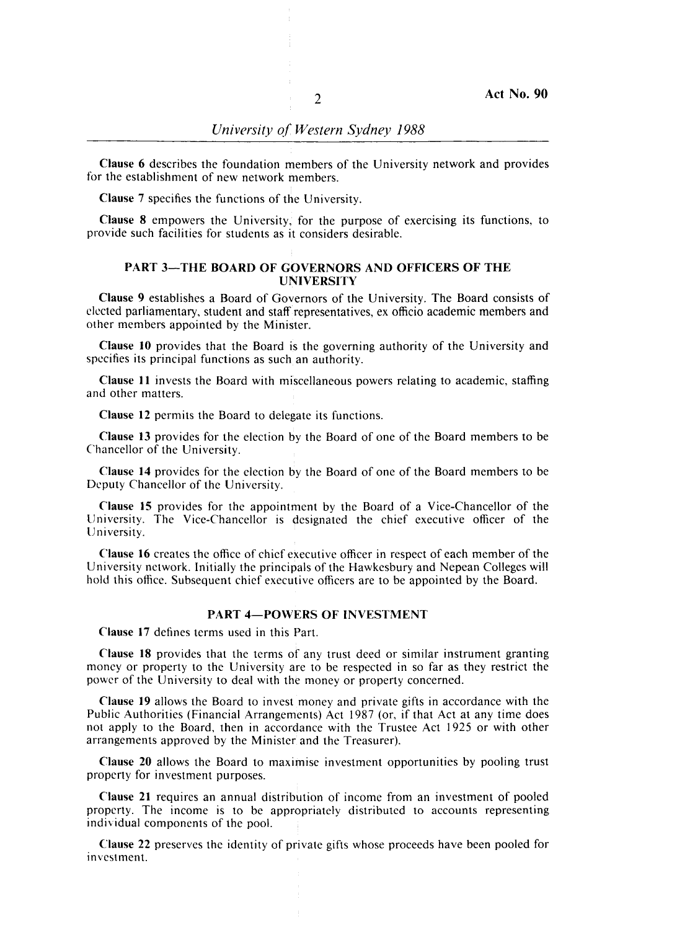Clause 6 describes the foundation members of the University network and provides for the establishment of new network members.

Clause 7 specifies the functions of the University.

**Clause 8** empowers the University, for the purpose of exercising its functions, to provide such facilities for students as it considers desirable.

# PART 3-THE BOARD OF GOVERNORS AND OFFICERS OF THE **UNIVERSITY**

Clause 9 establishes a Board of Governors of the University. The Board consists of elected parliamentary, student and staff representatives, ex officio academic members and other members appointed by the Minister.

Clause 10 provides that the Board is the governing authority of the University and specifies its principal functions as such an authority.

Clause **11** invests the Board with miscellaneous powers relating to academic, staffing and other matters.

Clause 12 permits the Board to delegate its functions.

Clause 13 provides for the election by the Board of one of the Board members to be Chancellor of the University.

Clause 14 provides for the election by the Board of one of the Board members to be Deputy Chancellor of the University.

Clause 15 provides for the appointment by the Board of a Vice-Chancellor of the University. The Vice-Chancellor is designated the chief executive officer of the University. '

Clause 16 creates the office of chief executive officer in respect of each member of the University network. Initially the principals of the Hawkesbury and Nepean Colleges will hold this office. Subsequent chief executive officers are to be appointed by the Board.

#### PART 4-POWERS OF INVESTMENT

Clause 17 defines terms used in this Part.

Clause 18 provides that the terms of any trust deed or similar instrument granting money or property to the University are to be respected in so far as they restrict the power of the University to deal with the money or property concerned.

Clause 19 allows the Board to invest money and private gifts in accordance with the Public Authorities (Financial Arrangements) Act 1987 (or, if that Act at any time does not apply to the Board, then in accordance with the Trustee Act 1925 or with other arrangements approved by the Minister and the Treasurer).

Clause 20 allows the Board to maximise investment opportunities by pooling trust property for investment purposes.

Clause 21 requires an annual distribution of income from an investment of pooled property. The income is to be appropriately distributed to accounts representing individual components of the pool.

. Clause 22 preserves the identity of private gifts whose proceeds have been pooled for Investment.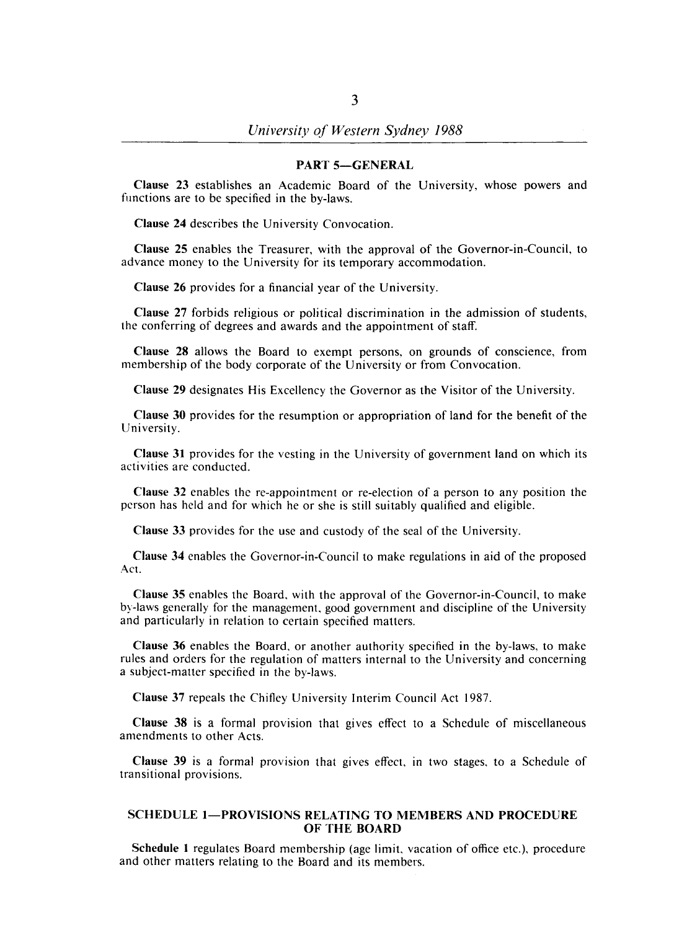#### PART 5-GENERAL

Clause 23 establishes an Academic Board of the University, whose powers and functions are to be specified in the by-laws.

Clause 24 describes the University Convocation.

Clause 25 enables the Treasurer, with the approval of the Governor-in-Council, to advance money to the University for its temporary accommodation.

Clause 26 provides for a financial year of the University.

Clause 27 forbids religious or political discrimination in the admission of students, the conferring of degrees and awards and the appointment of staff.

Clause 28 allows the Board to exempt persons, on grounds of conscience, from membership of the body corporate of the University or from Convocation.

Clause 29 designates His Excellency the Governor as the Visitor of the University.

Clause 30 provides for the resumption or appropriation of land for the benefit of the University.

Clause 31 provides for the vesting in the University of government land on which its activities are conducted.

Clause 32 enables the re-appointment or re-election of a person to any position the person has held and for which he or she is still suitably qualified and eligible.

Clause 33 provides for the use and custody of the seal of the University.

Clause 34 enables the Governor-in-Council to make regulations in aid of the proposed Act.

Clause 35 enables the Board, with the approval of the Governor-in-Council, to make by-laws generally for the management, good government and discipline of the University and particularly in relation to certain specified matters.

Clause 36 enables the Board, or another authority specified in the by-laws, to make rules and orders for the regulation of matters internal to the University and concerning a subject-matter specified in the by-laws.

Clause 37 repeals the Chifley University Interim Council Act 1987.

Clause 38 is a formal provision that gives effect to a Schedule of miscellaneous amendments to other Acts.

Clause 39 is a formal provision that gives effect, in two stages, to a Schedule of transitional provisions.

#### SCHEDULE 1-PROVISIONS RELATING TO MEMBERS AND PROCEDURE OF THE BOARD

Schedule 1 regulates Board membership (age limit, vacation of office etc.), procedure and other matters relating to the Board and its members.